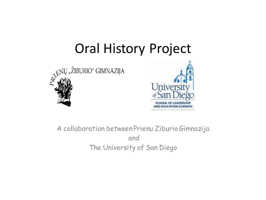### Oral History Project





A collaboration between Prienu ZiburioGimnazija and The University of San Diego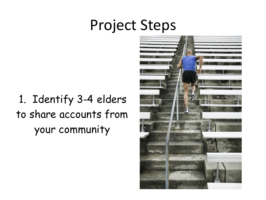### Project Steps

1. Identify 3-4 elders to share accounts from your community

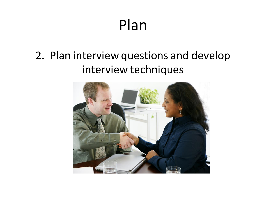## Plan

#### 2. Plan interview questions and develop interview techniques

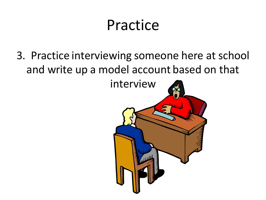# Practice

3. Practice interviewing someone here at school and write up a model account based on that

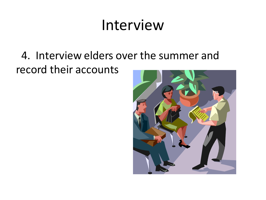## Interview

#### 4. Interview elders over the summer and record their accounts

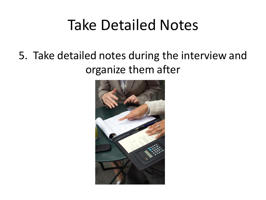## Take Detailed Notes

#### 5. Take detailed notes during the interview and organize them after

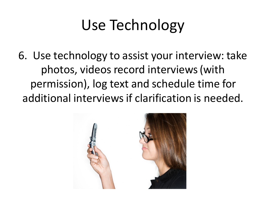# Use Technology

6. Use technology to assist your interview: take photos, videos record interviews (with permission), log text and schedule time for additional interviews if clarification is needed.

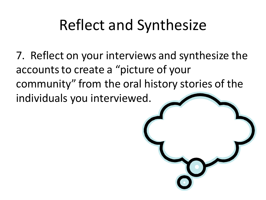# Reflect and Synthesize

7. Reflect on your interviews and synthesize the accounts to create a "picture of your community" from the oral history stories of the individuals you interviewed.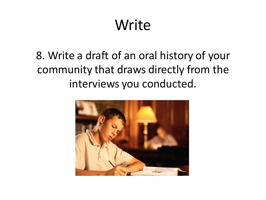# Write

#### 8. Write a draft of an oral history of your community that draws directly from the interviews you conducted.

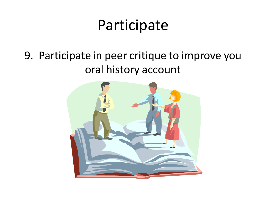## Participate

#### 9. Participate in peer critique to improve you oral history account

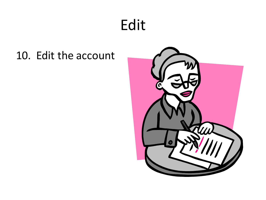# Edit

#### 10. Edit the account

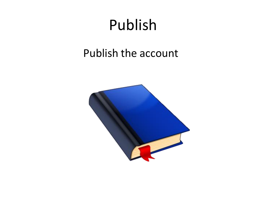# Publish

#### Publish the account

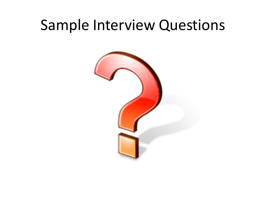### Sample Interview Questions

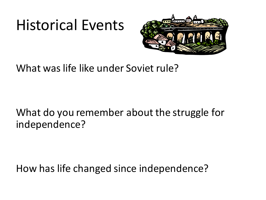## Historical Events



What was life like under Soviet rule?

#### What do you remember about the struggle for independence?

How has life changed since independence?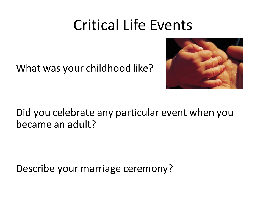### Critical Life Events

What was your childhood like?



Did you celebrate any particular event when you became an adult?

Describe your marriage ceremony?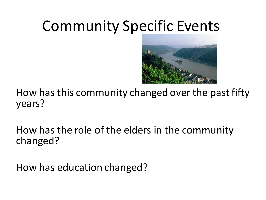# Community Specific Events



How has this community changed over the past fifty years?

How has the role of the elders in the community changed?

How has education changed?